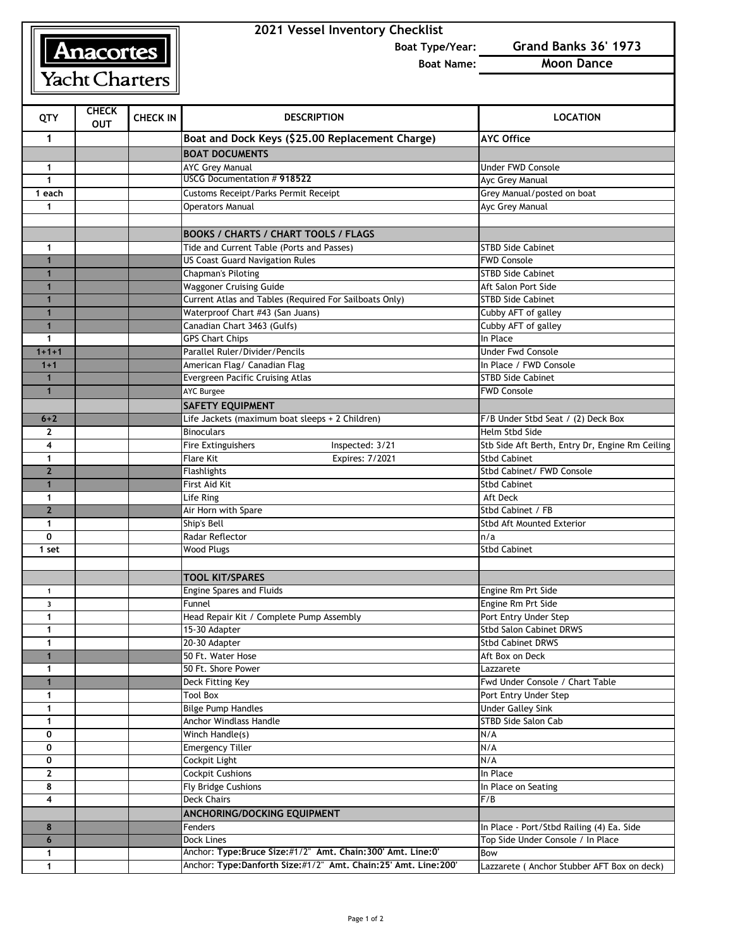## Anacortes

Yacht Charters

## **2021 Vessel Inventory Checklist**

**Boat Type/Year: Grand Banks 36' 1973**

**Boat Name: Moon Dance**

| <b>QTY</b>     | <b>CHECK</b><br><b>OUT</b> | <b>CHECK IN</b> | <b>DESCRIPTION</b>                                             | <b>LOCATION</b>                                 |
|----------------|----------------------------|-----------------|----------------------------------------------------------------|-------------------------------------------------|
| 1              |                            |                 | Boat and Dock Keys (\$25.00 Replacement Charge)                | <b>AYC Office</b>                               |
|                |                            |                 | <b>BOAT DOCUMENTS</b>                                          |                                                 |
| 1              |                            |                 | <b>AYC Grey Manual</b>                                         | Under FWD Console                               |
| $\mathbf{1}$   |                            |                 | USCG Documentation #918522                                     | Ayc Grey Manual                                 |
| 1 each         |                            |                 | <b>Customs Receipt/Parks Permit Receipt</b>                    | Grey Manual/posted on boat                      |
| $\mathbf 1$    |                            |                 | <b>Operators Manual</b>                                        | Ayc Grey Manual                                 |
|                |                            |                 |                                                                |                                                 |
|                |                            |                 | <b>BOOKS / CHARTS / CHART TOOLS / FLAGS</b>                    |                                                 |
| $\mathbf 1$    |                            |                 | Tide and Current Table (Ports and Passes)                      | <b>STBD Side Cabinet</b>                        |
| 1              |                            |                 | <b>US Coast Guard Navigation Rules</b>                         | <b>FWD Console</b>                              |
| $\mathbf{1}$   |                            |                 | <b>Chapman's Piloting</b>                                      | <b>STBD Side Cabinet</b>                        |
| 1              |                            |                 | <b>Waggoner Cruising Guide</b>                                 | Aft Salon Port Side                             |
| 1              |                            |                 | Current Atlas and Tables (Required For Sailboats Only)         | <b>STBD Side Cabinet</b>                        |
| $\mathbf{1}$   |                            |                 | Waterproof Chart #43 (San Juans)                               | Cubby AFT of galley                             |
| $\mathbf{1}$   |                            |                 | Canadian Chart 3463 (Gulfs)                                    | Cubby AFT of galley                             |
| $\mathbf 1$    |                            |                 | <b>GPS Chart Chips</b>                                         | In Place                                        |
| $1 + 1 + 1$    |                            |                 | Parallel Ruler/Divider/Pencils                                 | <b>Under Fwd Console</b>                        |
| $1 + 1$        |                            |                 | American Flag/ Canadian Flag                                   | In Place / FWD Console                          |
| $\mathbf{1}$   |                            |                 | <b>Evergreen Pacific Cruising Atlas</b>                        | <b>STBD Side Cabinet</b>                        |
| $\blacksquare$ |                            |                 | <b>AYC Burgee</b>                                              | <b>FWD Console</b>                              |
|                |                            |                 | <b>SAFETY EQUIPMENT</b>                                        |                                                 |
| $6 + 2$        |                            |                 | Life Jackets (maximum boat sleeps + 2 Children)                | F/B Under Stbd Seat / (2) Deck Box              |
| $\mathbf{2}$   |                            |                 | <b>Binoculars</b>                                              | <b>Helm Stbd Side</b>                           |
| 4              |                            |                 | Inspected: 3/21<br>Fire Extinguishers                          | Stb Side Aft Berth, Entry Dr, Engine Rm Ceiling |
| $\mathbf{1}$   |                            |                 | Expires: 7/2021<br><b>Flare Kit</b>                            | <b>Stbd Cabinet</b>                             |
| $\overline{2}$ |                            |                 | Flashlights                                                    | Stbd Cabinet/ FWD Console                       |
| $\mathbf{1}$   |                            |                 | First Aid Kit                                                  | <b>Stbd Cabinet</b>                             |
| 1              |                            |                 | Life Ring                                                      | Aft Deck                                        |
| $\overline{2}$ |                            |                 | Air Horn with Spare                                            | Stbd Cabinet / FB                               |
| $\mathbf 1$    |                            |                 | Ship's Bell                                                    | Stbd Aft Mounted Exterior                       |
| $\mathbf 0$    |                            |                 | Radar Reflector                                                | n/a                                             |
| 1 set          |                            |                 | <b>Wood Plugs</b>                                              | <b>Stbd Cabinet</b>                             |
|                |                            |                 |                                                                |                                                 |
|                |                            |                 | <b>TOOL KIT/SPARES</b>                                         |                                                 |
| $\mathbf{1}$   |                            |                 | <b>Engine Spares and Fluids</b>                                | Engine Rm Prt Side                              |
| 3              |                            |                 | Funnel                                                         | Engine Rm Prt Side                              |
| $\mathbf{1}$   |                            |                 | Head Repair Kit / Complete Pump Assembly                       | Port Entry Under Step                           |
| $\mathbf{1}$   |                            |                 | 15-30 Adapter                                                  | <b>Stbd Salon Cabinet DRWS</b>                  |
| 1              |                            |                 | 20-30 Adapter                                                  | <b>Stbd Cabinet DRWS</b>                        |
| $\blacksquare$ |                            |                 | 50 Ft. Water Hose                                              | Aft Box on Deck                                 |
| 1              |                            |                 | 50 Ft. Shore Power                                             | Lazzarete                                       |
| $\mathbf{1}$   |                            |                 | Deck Fitting Key                                               | Fwd Under Console / Chart Table                 |
| $\mathbf 1$    |                            |                 | <b>Tool Box</b>                                                | Port Entry Under Step                           |
| $\mathbf{1}$   |                            |                 | <b>Bilge Pump Handles</b>                                      | <b>Under Galley Sink</b>                        |
| $\mathbf{1}$   |                            |                 | Anchor Windlass Handle                                         | STBD Side Salon Cab                             |
| 0              |                            |                 | Winch Handle(s)                                                | N/A                                             |
| 0              |                            |                 | <b>Emergency Tiller</b>                                        | N/A                                             |
| 0              |                            |                 | Cockpit Light                                                  | N/A                                             |
| $\mathbf{2}$   |                            |                 | <b>Cockpit Cushions</b>                                        | In Place                                        |
| 8              |                            |                 | Fly Bridge Cushions                                            | In Place on Seating                             |
| 4              |                            |                 | <b>Deck Chairs</b>                                             | F/B                                             |
|                |                            |                 | ANCHORING/DOCKING EQUIPMENT                                    |                                                 |
| 8              |                            |                 | Fenders                                                        | In Place - Port/Stbd Railing (4) Ea. Side       |
| 6              |                            |                 | Dock Lines                                                     | Top Side Under Console / In Place               |
| $\mathbf 1$    |                            |                 | Anchor: Type: Bruce Size: #1/2" Amt. Chain: 300' Amt. Line: 0' | Bow                                             |
| $\mathbf{1}$   |                            |                 | Anchor: Type:Danforth Size:#1/2" Amt. Chain:25' Amt. Line:200' | Lazzarete ( Anchor Stubber AFT Box on deck)     |